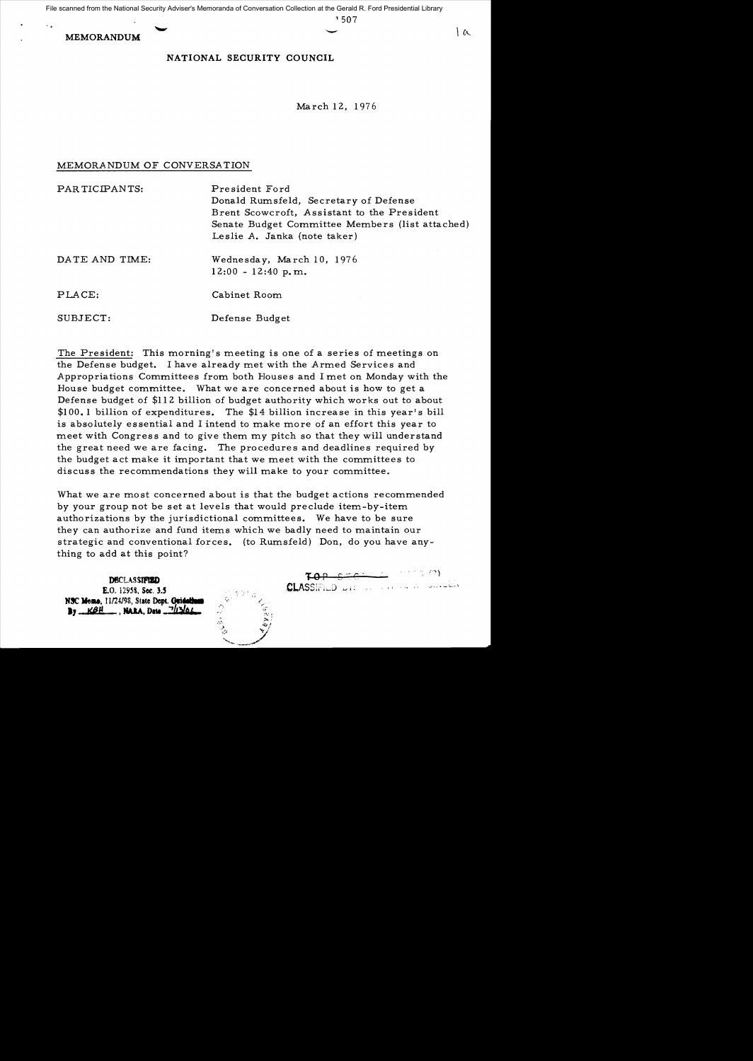File scanned from the National Security Adviser's Memoranda of Conversation Collection at the Gerald R. Ford Presidential Library

**MEMORANDUM** 

 $1507$ 

 $\sim$ 

## NATIONAL SECURITY COUNCIL

March 12, 1976

### MEMORANDUM OF CONVERSATION

| PARTICIPANTS:  | President Ford<br>Donald Rumsfeld, Secretary of Defense<br>Brent Scowcroft, Assistant to the President<br>Senate Budget Committee Members (list attached)<br>Leslie A. Janka (note taker) |
|----------------|-------------------------------------------------------------------------------------------------------------------------------------------------------------------------------------------|
| DATE AND TIME: | Wednesday, March 10, 1976<br>$12:00 - 12:40$ p.m.                                                                                                                                         |
| PLACE:         | Cabinet Room                                                                                                                                                                              |
| SUBJECT:       | Defense Budget                                                                                                                                                                            |

The President: This morning's meeting is one of a series of meetings on the Defense budget. I have already met with the Armed Services and Appropriations Committees from both Houses and I met on Monday with the House budget committee. What we are concerned about is how to get a Defense budget of \$112 billion of budget authority which works out to about \$100.1 billion of expenditures. The \$14 billion increase in this year's bill is absolutely essential and I intend to make more of an effort this year to meet with Congress and to give them my pitch so that they will understand the great need we are facing. The procedures and deadlines required by the budget act make it important that we meet with the committees to discuss the recommendations they will make to your committee.

What we are most concerned about is that the budget actions recommended by your group not be set at levels that would preclude item-by-item authorizations by the jurisdictional committees. We have to be sure they can authorize and fund items which we badly need to maintain our strategic and conventional forces. (to Rumsfeld) Don, do you have anything to add at this point?

**DECLASSIFIED** E.O. 12958, Sec. 3.5 NSC Mema, 11/24/98, State Dept. Guidalla By KBH RARA, Date 743/06 CLASSIFIED LIST AND AND HOME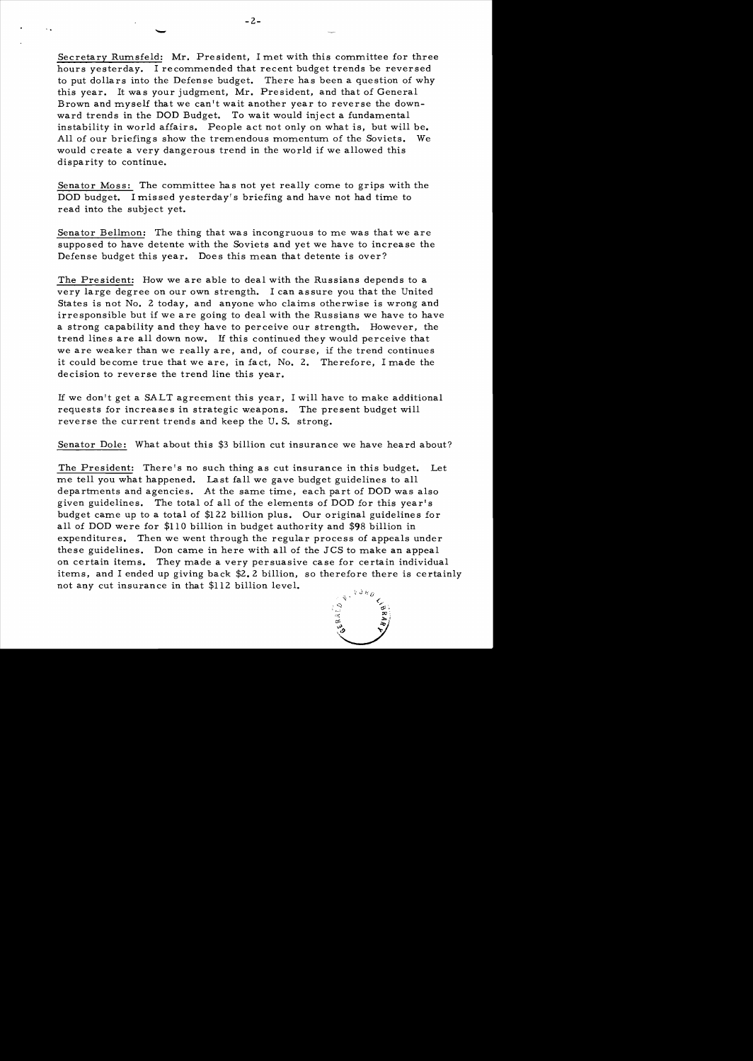Secretary Rumsfeld: Mr. President, I met with this committee for three hours yesterday. I recommended that recent budget trends be reversed to put dollars into the Defense budget. There has been a question of why this year. It was your judgment, Mr. President, and that of General Brown and myself that we can't wait another year to reverse the downward trends in the DOD Budget. To wait would inject a fundamental instability in world affairs. People act not only on what is, but will be. All of our briefings show the tremendous momentum of the Soviets. We would create a very dangerous trend in the world if we allowed this disparity to continue.

Senator Moss: The committee has not yet really come to grips with the DOD budget. I mis sed yesterday's briefing and have not had time to read into the subject yet.

Senator Bellmon: The thing that was incongruous to me was that we are supposed to have detente with the Soviets and yet we have to increase the Defense budget this year. Does this mean that detente is over?

The President: How we are able to deal with the Russians depends to a very large degree on our own strength. I can assure *you* that the United States is not No. 2 today, and anyone who claims otherwise is wrong and irresponsible but if we are going to deal with the Russians we have to have a strong capability and they have to perceive our strength. However, the trend lines are all down now. IT this continued they would perceive that we are weaker than we really are, and, of course, if the trend continues it could become true that we are, in fact, No.2. Therefore, I made the decision to reverse the trend line this year.

IT we don't get a SALT agreement this year, I will have to make additional requests for increases in strategic weapons. The present budget will reverse the current trends and keep the U. S. strong.

Senator Dole: What about this \$3 billion cut insurance we have heard about?

The President: There's no such thing as cut insurance in this budget. Let me tell *you* what happened. Last fall we gave budget guidelines to all departments and agencies. At the same time, each part of DOD was also given guidelines. The total of all of the elements of DOD for this year's budget came up to a total of \$122 billion plus. Our original guidelines for all of DOD were for \$110 billion in budget authority and \$98 billion in expenditures. Then we went through the regular process of appeals under these guidelines. Don came in here with all of the JCS to make an appeal on certain items. They made a very persuasive case for certain individual items, and I ended up giving back \$2.2 billion, so therefore there is certainly not any cut insurance in that \$112 billion level.



-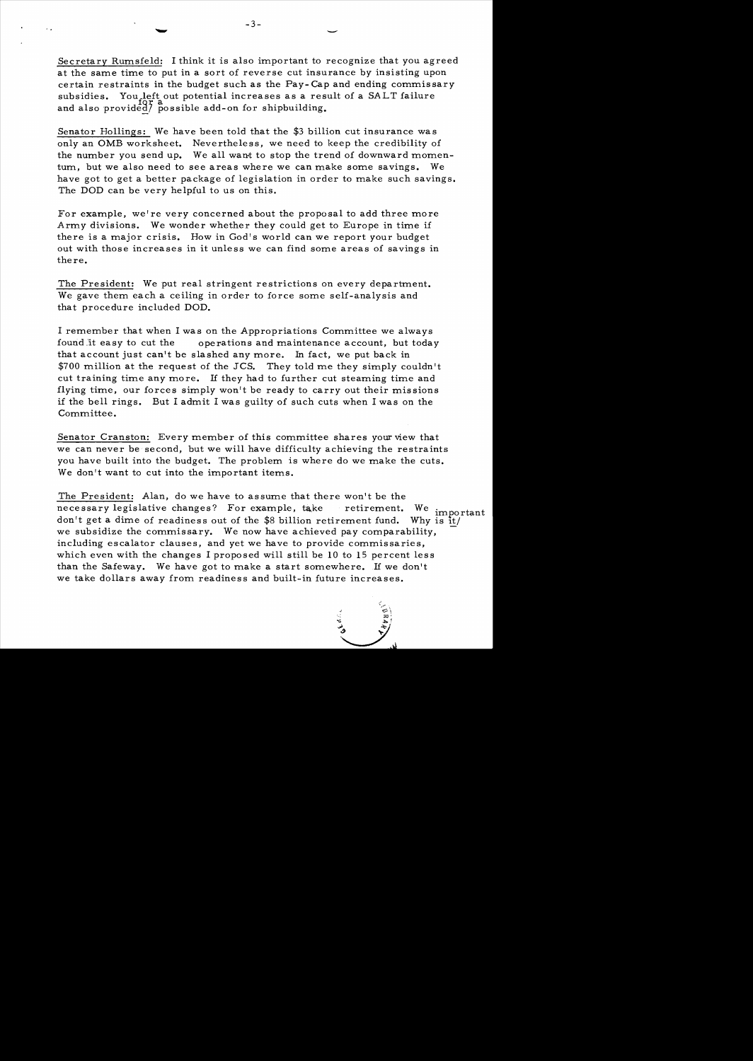Secretary Rumsfeld: I think it is also important to recognize that you agreed at the same time to put in a sort of reverse cut insurance by insisting upon certain restraints in the budget such as the Pay- Cap and ending commissary subsidies. You left out potential increases as a result of a SALT failure and also provided/ possible add-on for shipbuilding.

Senator Hollings: We have been told that the \$3 billion cut insurance was only an OMB worksheet. Nevertheless, we need to keep the credibility of the number you send up. We all want to stop the trend of downward momentum, but we also need to see areas where we can make some savings. We have got to get a better package of legislation in order to make such savings. The DOD can be very helpful to us on this.

For example, we're very concerned about the proposal to add three more Army divisions. We wonder whether they could get to Europe in time if there is a major crisis. How in God's world can we report your budget out with those increases in it unless we can find some areas of savings in there.

The President: We put real stringent restrictions on every department. We gave them each a ceiling in order to force some self-analysis and that procedure included DOD.

I remember that when I was on the Appropriations Committee we always found.it easy to cut the operations and maintenance account, but today that account just can't be slashed any more. In fact, we put back in \$700 million at the request of the JCS. They told me they simply couldn't cut training time any more. If they had to further cut steaming time and flying time, our forces simply won't be ready to carry out their missions if the bell rings. But I admit I was guilty of such cuts when I was on the Committee.

Senator Cranston: Every member of this committee shares your view that we can never be second, but we will have difficulty achieving the restraints you have built into the budget. The problem is where do we make the cuts. We don't want to cut into the important items.

The President: Alan, do we have to assume that there won't be the necessary legislative changes? For example, take retirement. We import don't get a dime of readiness out of the \$8 billion retirement fund. Why is it We important we subsidize the commissary. We now have achieved pay comparability, including escalator clauses, and yet we have to provide commissaries, which even with the changes I proposed will still be 10 to 15 percent less than the Safeway. We have got to make a start somewhere. If we don't we take dollars away from readiness and built-in future increases.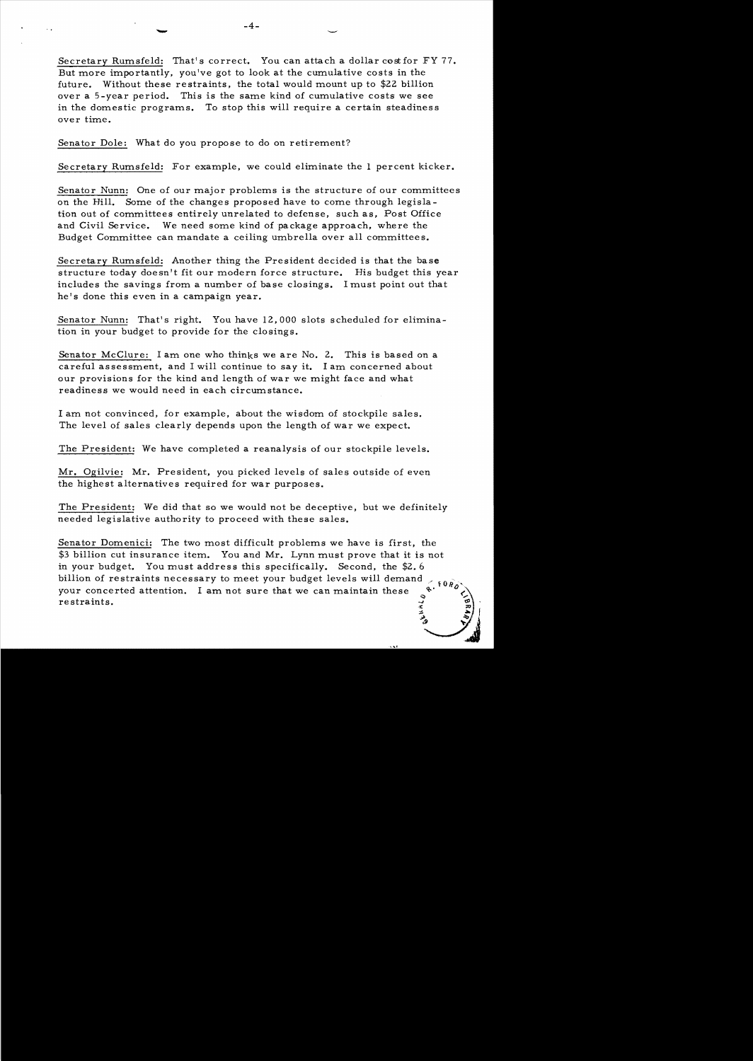Secretary Rumsfeld: That's correct. You can attach a dollar cost for FY 77. But more importantly, you've got to look at the cumulative costs in the future. Without these restraints, the total would mount up to \$22 billion over a 5-year period. This is the same kind of cumulative costs we see in the domestic programs. To stop this will require a certain steadiness over time.

Senator Dole: What do you propose to do on retirement?

Secretary Rumsfeld: For example, we could eliminate the 1 percent kicker.

Senator Nunn: One of our major problems is the structure of our committees on the Hill. Some of the changes proposed have to come through legislation out of committees entirely unrelated to defense, such as, Post Office and Civil Service. We need some kind of package approach, where the Budget Committee can mandate a ceiling umbrella over all committees.

Secretary Rumsfeld: Another thing the President decided is that the base structure today doesn't fit our modern force structure. His budget this year includes the savings from a number of base closings. I must point out that he's done this even in a campaign year.

Senator Nunn: That's right. You have 12,000 slots scheduled for elimination in your budget to provide for the closings.

Senator McClure: I am one who thinks we are No. 2. This is based on a careful assessment, and I will continue to say it. I am concerned about our provisions for the kind and length of war we might face and what readiness we would need in each circumstance.

I am not convinced, for example, about the wisdom of stockpile sales. The level of sales clearly depends upon the length of war we expect.

The President: We have completed a reanalysis of our stockpile levels.

Mr. Ogilvie: Mr. President, you picked levels of sales outside of even the highest alternatives required for war purposes.

The President: We did that so we would not be deceptive, but we definitely needed legislative authority to proceed with these sales.

Senator Domenici: The two most difficult problems we have is first, the  $$3$  billion cut insurance item. You and Mr. Lynn must prove that it is not in your budget. You must address this specifically. Second, the  $$2.6$ billion of restraints necessary to meet your budget levels will demand  $\epsilon$  for  $\delta$ your concerted attention. I am not sure that we can maintain these restraints. the<br>s not<br> $\frac{1}{2}$ .  $\frac{1}{2}$ .  $\frac{1}{2}$ .  $\frac{1}{2}$ .  $\frac{1}{2}$ .  $\frac{1}{2}$ .  $\frac{1}{2}$ .  $\frac{1}{2}$ .  $\frac{1}{2}$ .  $\frac{1}{2}$ .  $\frac{1}{2}$ .  $\frac{1}{2}$ .  $\frac{1}{2}$ .  $\frac{1}{2}$ .  $\frac{1}{2}$ .  $\frac{1}{2}$ .  $\frac{1}{2}$ .  $\frac{1}{2}$ .  $\frac{1}{2}$ .  $\$ restraints.  $\begin{pmatrix} 2 & \mathcal{P} \\ \frac{1}{2} & \mathcal{P} \end{pmatrix}$ .

;!. ..... " J ~.t *t* <sup>j</sup> ~.AI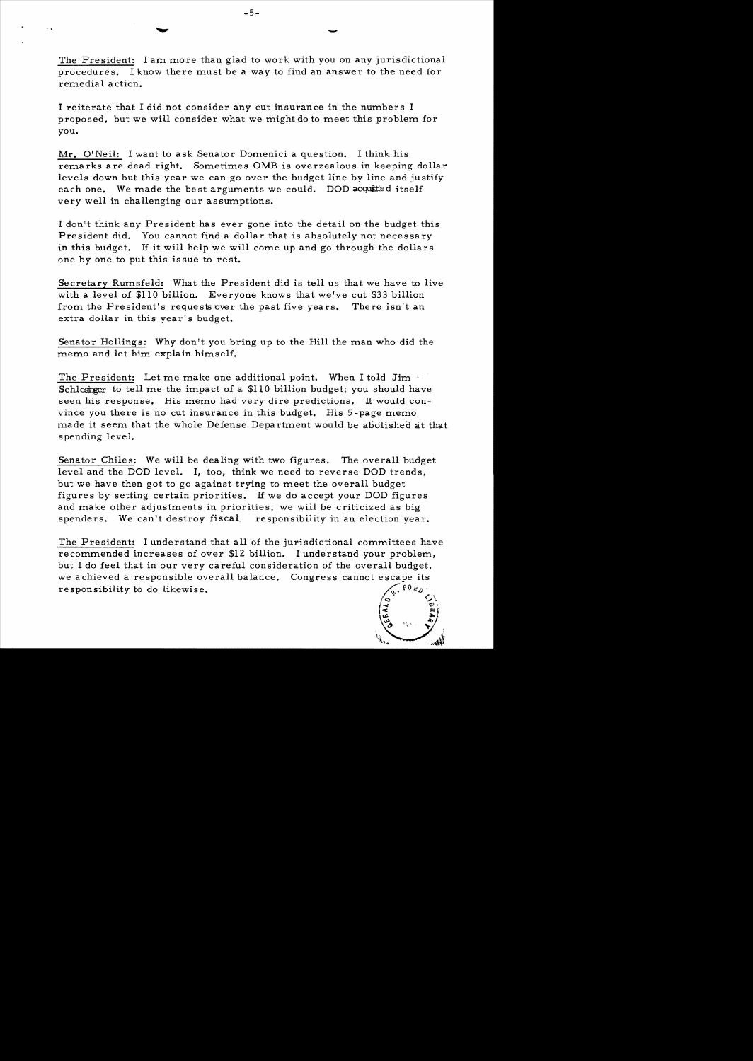The President: I am more than glad to work with you on any jurisdictional procedures. I know there must be a way to find an answer to the need for remedial action.

I reiterate that I did not consider any cut insurance in the numbers I proposed, but we will consider what we might do to meet this problem for you.

Mr. O'Neil: I want to ask Senator Domenici a question. I think his remarks are dead right. Sometimes OMB is overzealous in keeping dollar levels down but this year we can go over the budget line by line and justify each one. We made the best arguments we could. DOD acquited itself very well in challenging our assumptions.

I don't think any President has ever gone into the detail on the budget this President did. You cannot find a dollar that is absolutely not necessary in this budget. If it will help we will come up and go through the dollars one by one to put this issue to rest.

Secretary Rumsfeld: What the President did is tell us that we have to live with a level of \$110 billion. Everyone knows that we've cut \$33 billion from the President's requests over the past five years. There isn't an extra dollar in this year's budget.

Senator Hollings: Why don't you bring up to the Hill the man who did the memo and let him explain himself.

The President: Let me make one additional point. When I told Jim Schlesinger to tell me the impact of a  $$110$  billion budget; you should have seen his response. His memo had very dire predictions. It would convince you there is no cut insurance in this budget. His 5 -page memo made it seem that the whole Defense Department would be abolished at that s pending level.

Senator Chiles: We will be dealing with two figures. The overall budget level and the DOD level. I, too, think we need to reverse DOD trends, but we have then got to go against trying to meet the overall budget figure s by setting certain priorities. If we do accept your DOD figures and make other adjustments in priorities, we will be criticized as big spenders. We can't destroy fiscal responsibility in an election year.

The President: I understand that all of the jurisdictional committees have recommended increases of over \$12 billion. I understand your problem, but I do feel that in our very careful consideration of the overall budget, we achieved a responsible overall balance. Congress cannot escape its **FORD** responsibility to do likewise.



-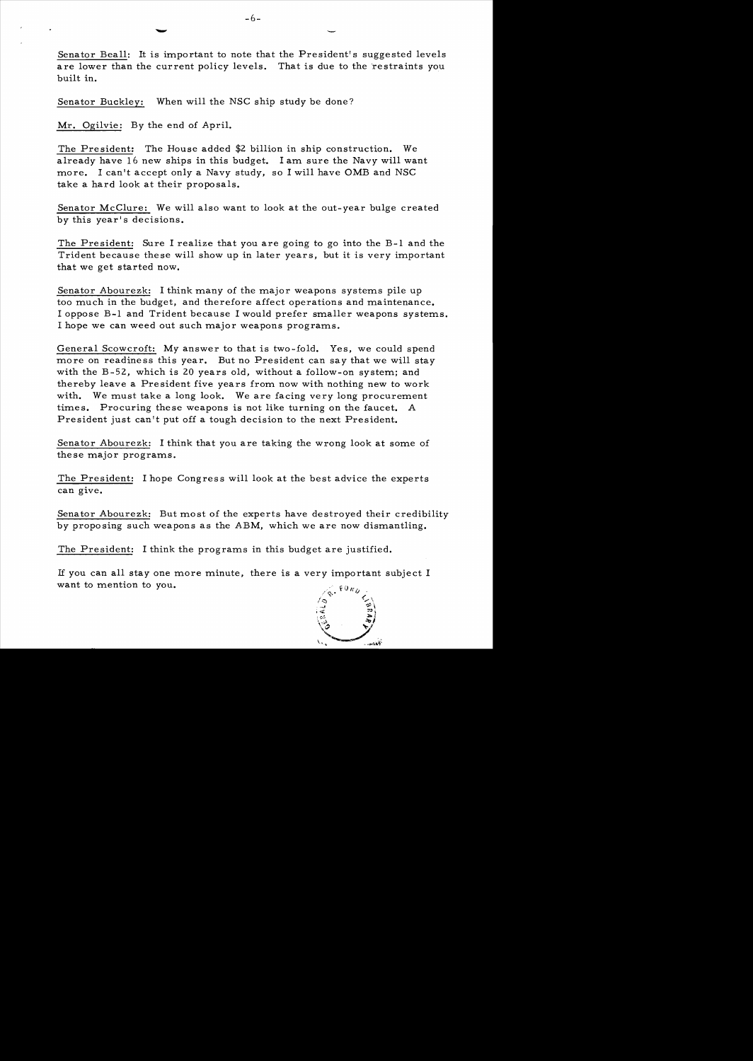Senator Beall: It is important to note that the President's suggested levels are lower than the current policy levels. That is due to the restraints you built in.

Senator Buckley: When will the NSC ship study be done?

Mr. Ogilvie: By the end of April.

The President; The House added \$2 billion in ship construction. We already have 16 new ships in this budget. I am sure the Navy will want more. I can't accept only a Navy study, so I will have OMB and NSC take a hard look at their proposals.

Senator McClure: We will also want to look at the out-year bulge created by this year's decisions.

The President: Sure I realize that you are going to go into the B-1 and the Trident because these will show up in later years, but it is very important that we get started now.

Senator Abourezk: I think many of the major weapons systems pile up too much in the budget, and therefore affect operations and maintenance. I oppose B-1 and Trident because I would prefer smaller weapons systems. I hope we can weed out such major weapons programs.

General Scowcroft: My answer to that is two-fold. Yes, we could spend more on readiness this year. But no President can say that we will stay with the  $B-52$ , which is 20 years old, without a follow-on system; and thereby leave a President five years from now with nothing new to work with. We must take a long look. We are facing very long procurement times. Procuring these weapons is not like turning on the faucet. A President just can't put off a tough decision to the next President.

Senator Abourezk: I think that you are taking the wrong look at some of these major programs.

The President: I hope Congres s will look at the best advice the experts can give.

Senator Abourezk: But most of the experts have destroyed their credibility by proposing such weapons as the ABM, which we are now dismantling.

The President: I think the programs in this budget are justified.

If you can all stay one more minute, there is a very important subject I want to mention to you.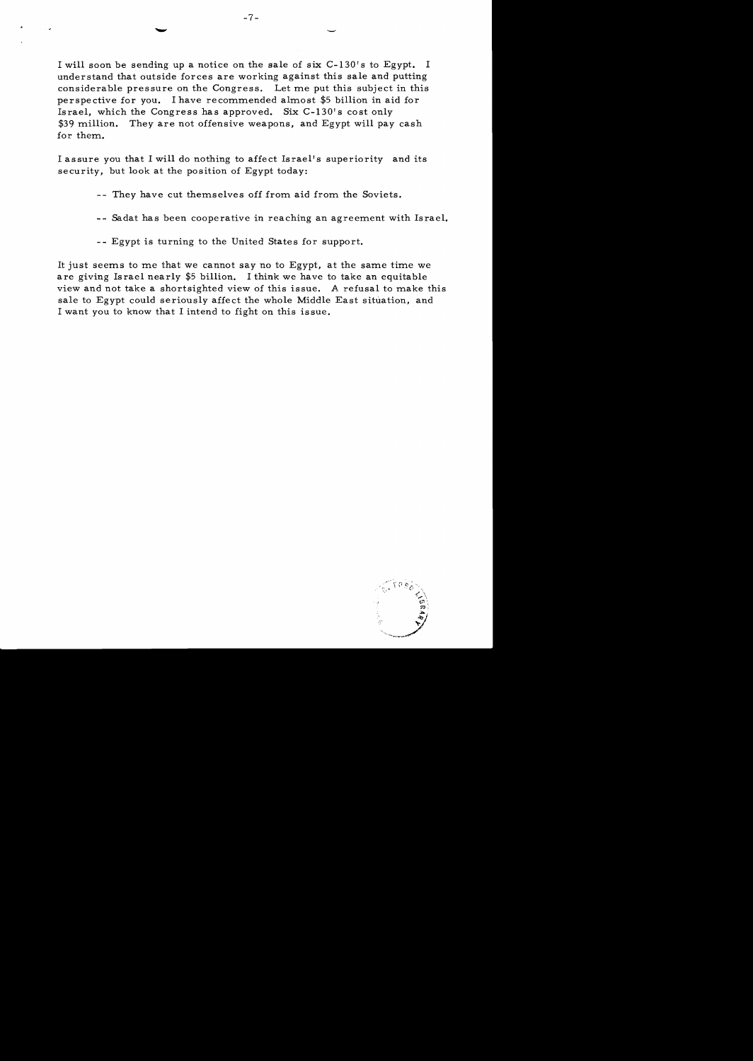I will soon be sending up a notice on the sale of six C-130's to Egypt. I understand that outside forces are working against this sale and putting considerable pressure on the Congress. Let me put this subject in this perspective for you. I have recommended almost \$5 billion in aid for Israel, which the Congress has approved. Six  $C-130'$  s cost only \$39 million. They are not offensive weapons, and Egypt will pay cash for them.

 $-7-$ 

I assure you that I will do nothing to affect Israel's superiority and its security, but look at the position of Egypt today:

- -- They have cut themselves off from aid from the Soviets.
- -- Sadat has been cooperative in reaching an agreement with Israel.
- -- Egypt is turning to the United States for support.

It just seems to me that we cannot say no to Egypt, at the same time we are giving Israel nearly \$5 billion. I think we have to take an equitable view and not take a shortsighted view of this issue. A refusal to make this sale to Egypt could seriously affect the whole Middle East situation, and I want you to know that I intend to fight on this issue.

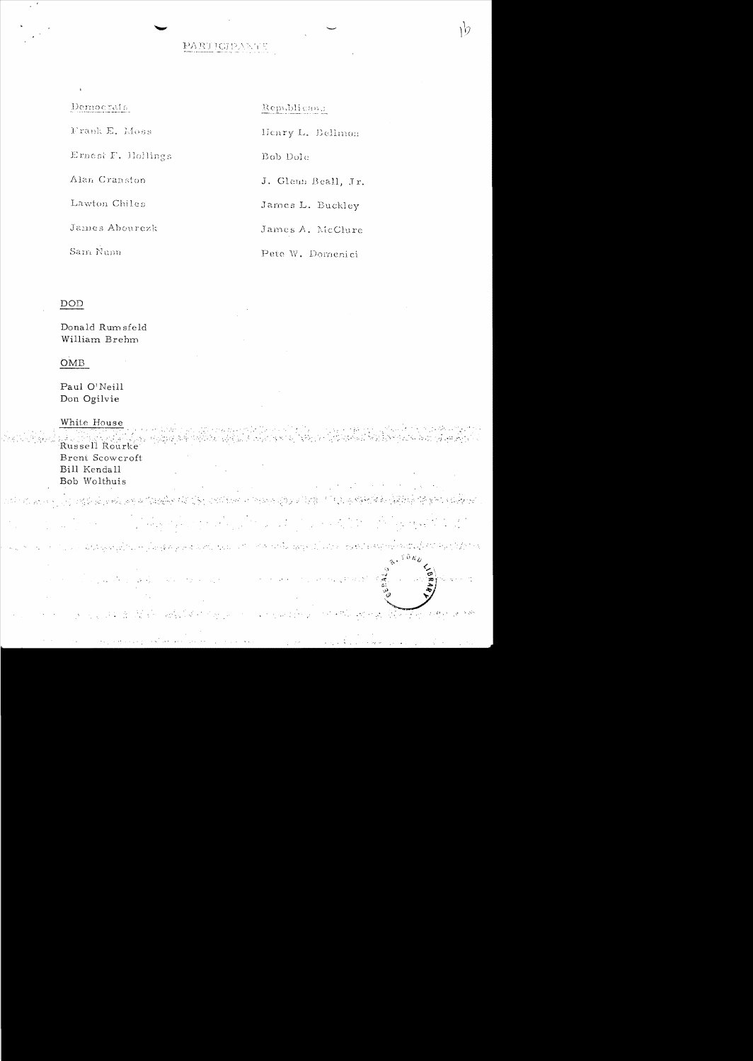# PARTICIPANTS

 $\mathcal{W}$ 

| Democrats          | Republicanc         |
|--------------------|---------------------|
| Frank E. Moss      | Henry L. Bellmon    |
| Ernest F. Hollings | Bob Dote            |
| Alan Cranston      | J. Glenn Beall, Jr. |
| Lawton Chiles      | James L. Buckley    |
| James Abourezk     | James A. McClure    |
| Sam Nunn           | Pete W. Domenici    |

## $\underline{\mathrm{DOD}}$

 $\bar{\mathbf{r}}$ 

 $\cdot$ 

Donald Rumsfeld William Brehm

 $\sim$   $\sim$ 

## $OMB$

Paul $\mathrm{O}^\dagger\mathrm{Neill}$ Don Ogilvie

|  | White House<br>Brent Scowcroft<br>Bill Kendall<br>Bob Wolthuis |                                                                                                                                                                                                                                  | $\mathcal{L}^{\mathcal{A}}(\mathcal{A})=\mathcal{L}^{\mathcal{A}}(\mathcal{A})=\mathcal{L}^{\mathcal{A}}(\mathcal{A})=\mathcal{L}^{\mathcal{A}}(\mathcal{A})=\mathcal{L}^{\mathcal{A}}(\mathcal{A})=\mathcal{L}^{\mathcal{A}}(\mathcal{A})=\mathcal{L}^{\mathcal{A}}(\mathcal{A})=\mathcal{L}^{\mathcal{A}}(\mathcal{A})=\mathcal{L}^{\mathcal{A}}(\mathcal{A})=\mathcal{L}^{\mathcal{A}}(\mathcal{A})=\mathcal{L}^{\mathcal{A}}(\mathcal{A})=\mathcal{L}^{\mathcal{$ |  |
|--|----------------------------------------------------------------|----------------------------------------------------------------------------------------------------------------------------------------------------------------------------------------------------------------------------------|-----------------------------------------------------------------------------------------------------------------------------------------------------------------------------------------------------------------------------------------------------------------------------------------------------------------------------------------------------------------------------------------------------------------------------------------------------------------------|--|
|  |                                                                |                                                                                                                                                                                                                                  | ારો પોતાના મુખ્ય પદ્ધ હોયએ હવે દુષ્યાહીને આ દુનિયાલયિક પોલાના સુધાર દિવા ડી દરે હાલના વિદેશને વિદેશને દુર્બનેન                                                                                                                                                                                                                                                                                                                                                        |  |
|  |                                                                |                                                                                                                                                                                                                                  |                                                                                                                                                                                                                                                                                                                                                                                                                                                                       |  |
|  |                                                                |                                                                                                                                                                                                                                  | าคม ชาวมาก "แม่เป็นสัญญาตในเหมืองสัตพุทธสมเด็ม นับเป็น" กำลังเสีย <sub>สัต</sub> รุ่งเป็นไวย เพลินไปสัญญาต่อสัตริย์ หินไว้ได้ว่าจ                                                                                                                                                                                                                                                                                                                                     |  |
|  |                                                                |                                                                                                                                                                                                                                  |                                                                                                                                                                                                                                                                                                                                                                                                                                                                       |  |
|  |                                                                | and the second control of the effect of the politic                                                                                                                                                                              | a consideration of the model of the Constantine of the                                                                                                                                                                                                                                                                                                                                                                                                                |  |
|  |                                                                | المن المناسب المناسب المناسب المناسب المناسب المناسب المناسب المناسب المناسب المناسب المناسب المناسب المناسب ا<br>المناسب المناسب المناسب المناسب المناسب المناسب المناسب المناسب المناسب المناسب المناسب المناسب المناسب المناس |                                                                                                                                                                                                                                                                                                                                                                                                                                                                       |  |

 $\mathcal{A}$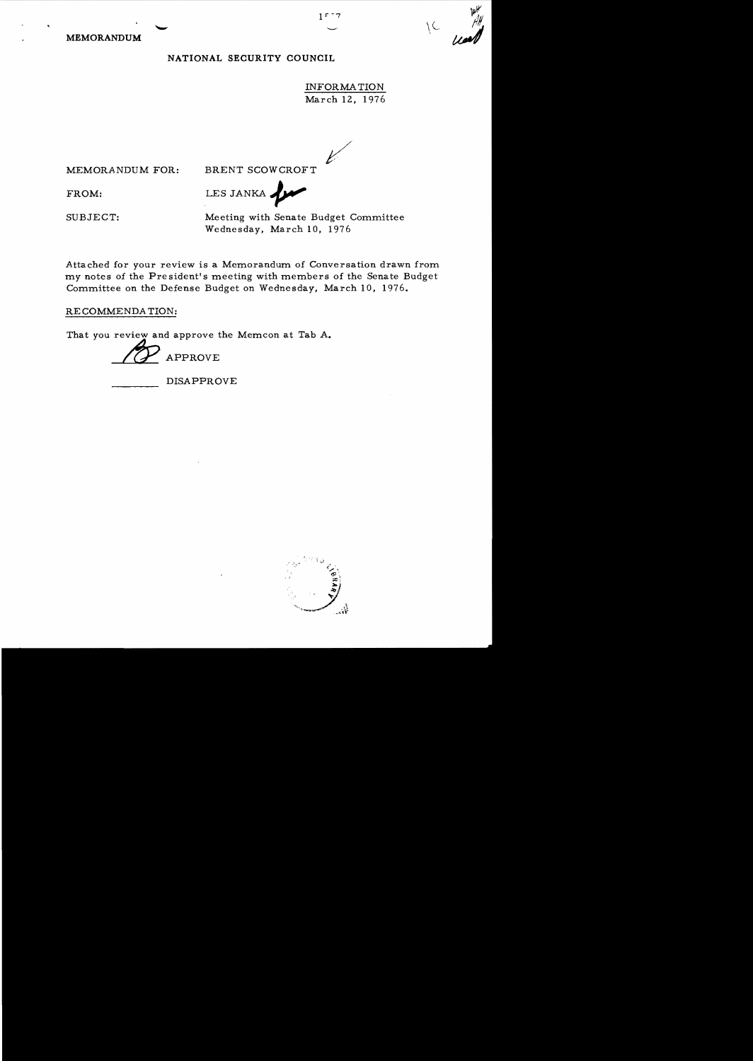**MEMORANDUM** 

### **NATIONAL SECURITY COUNCIL**

INFORMATION March 12, 1976 し

 $15 - 7$ 

MEMORANDUM FOR: BRENT SCOWCROFT

FROM: LESJANKA,

SUBJECT: Meeting with Senate Bu dget Committee Wednesday, March 10, 1976

Attached for your review is a Memorandum of Conversation drawn from *my* notes of the President's meeting with members of the Senate Budget Committee on the Defense Budget on Wednesday, March 10. 1976.

RECOMMENDATION:

That you review and approve the Memcon at Tab A.

APPROVE

DISAPPROVE